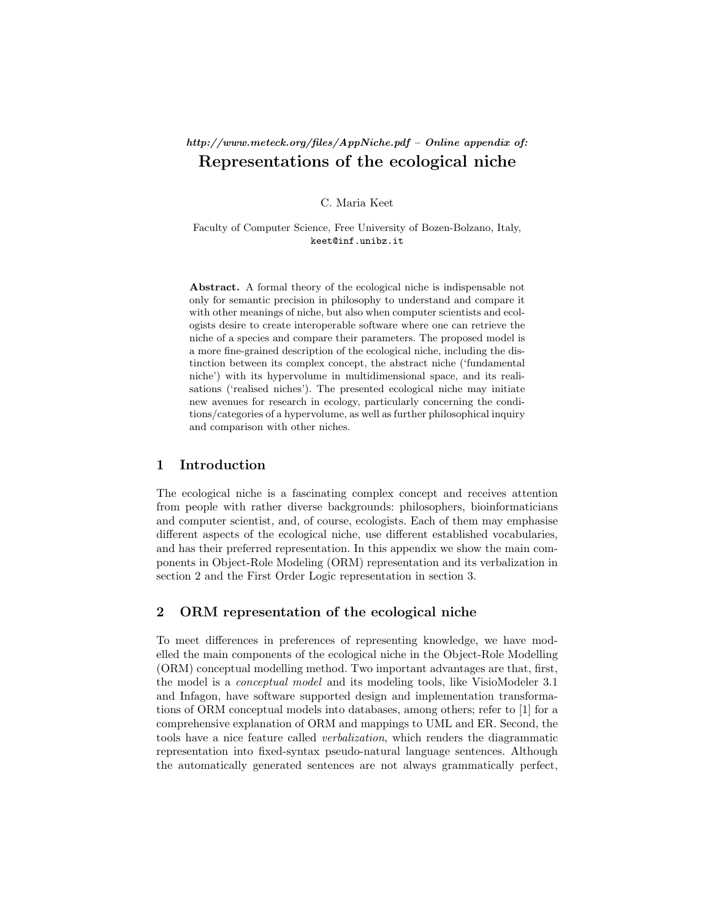# http://www.meteck.org/files/AppNiche.pdf – Online appendix of: Representations of the ecological niche

C. Maria Keet

Faculty of Computer Science, Free University of Bozen-Bolzano, Italy, keet@inf.unibz.it

Abstract. A formal theory of the ecological niche is indispensable not only for semantic precision in philosophy to understand and compare it with other meanings of niche, but also when computer scientists and ecologists desire to create interoperable software where one can retrieve the niche of a species and compare their parameters. The proposed model is a more fine-grained description of the ecological niche, including the distinction between its complex concept, the abstract niche ('fundamental niche') with its hypervolume in multidimensional space, and its realisations ('realised niches'). The presented ecological niche may initiate new avenues for research in ecology, particularly concerning the conditions/categories of a hypervolume, as well as further philosophical inquiry and comparison with other niches.

### 1 Introduction

The ecological niche is a fascinating complex concept and receives attention from people with rather diverse backgrounds: philosophers, bioinformaticians and computer scientist, and, of course, ecologists. Each of them may emphasise different aspects of the ecological niche, use different established vocabularies, and has their preferred representation. In this appendix we show the main components in Object-Role Modeling (ORM) representation and its verbalization in section 2 and the First Order Logic representation in section 3.

### 2 ORM representation of the ecological niche

To meet differences in preferences of representing knowledge, we have modelled the main components of the ecological niche in the Object-Role Modelling (ORM) conceptual modelling method. Two important advantages are that, first, the model is a conceptual model and its modeling tools, like VisioModeler 3.1 and Infagon, have software supported design and implementation transformations of ORM conceptual models into databases, among others; refer to [1] for a comprehensive explanation of ORM and mappings to UML and ER. Second, the tools have a nice feature called verbalization, which renders the diagrammatic representation into fixed-syntax pseudo-natural language sentences. Although the automatically generated sentences are not always grammatically perfect,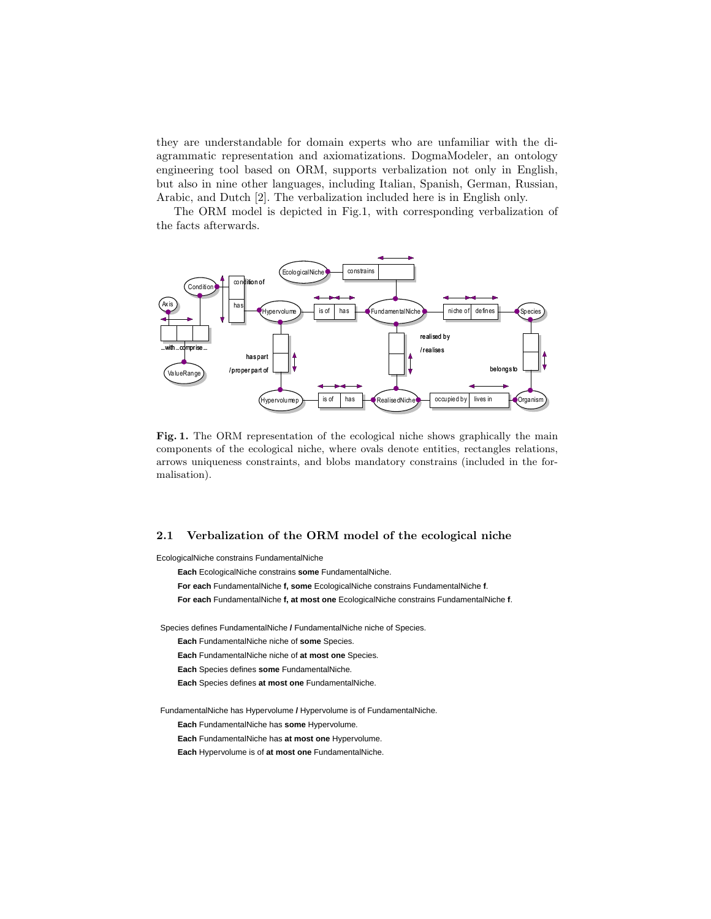they are understandable for domain experts who are unfamiliar with the diagrammatic representation and axiomatizations. DogmaModeler, an ontology engineering tool based on ORM, supports verbalization not only in English, but also in nine other languages, including Italian, Spanish, German, Russian, Arabic, and Dutch [2]. The verbalization included here is in English only.

The ORM model is depicted in Fig.1, with corresponding verbalization of the facts afterwards.



Fig. 1. The ORM representation of the ecological niche shows graphically the main components of the ecological niche, where ovals denote entities, rectangles relations, arrows uniqueness constraints, and blobs mandatory constrains (included in the formalisation).

#### 2.1 Verbalization of the ORM model of the ecological niche

EcologicalNiche constrains FundamentalNiche

**Each** EcologicalNiche constrains **some** FundamentalNiche. **For each** FundamentalNiche **f, some** EcologicalNiche constrains FundamentalNiche **f**. **For each** FundamentalNiche **f, at most one** EcologicalNiche constrains FundamentalNiche **f**. Species defines FundamentalNiche **/** FundamentalNiche niche of Species. **Each** FundamentalNiche niche of **some** Species. **Each** FundamentalNiche niche of **at most one** Species. **Each** Species defines **some** FundamentalNiche. **Each** Species defines **at most one** FundamentalNiche. FundamentalNiche has Hypervolume **/** Hypervolume is of FundamentalNiche. **Each** FundamentalNiche has **some** Hypervolume. **Each** FundamentalNiche has **at most one** Hypervolume. **Each** Hypervolume is of **at most one** FundamentalNiche.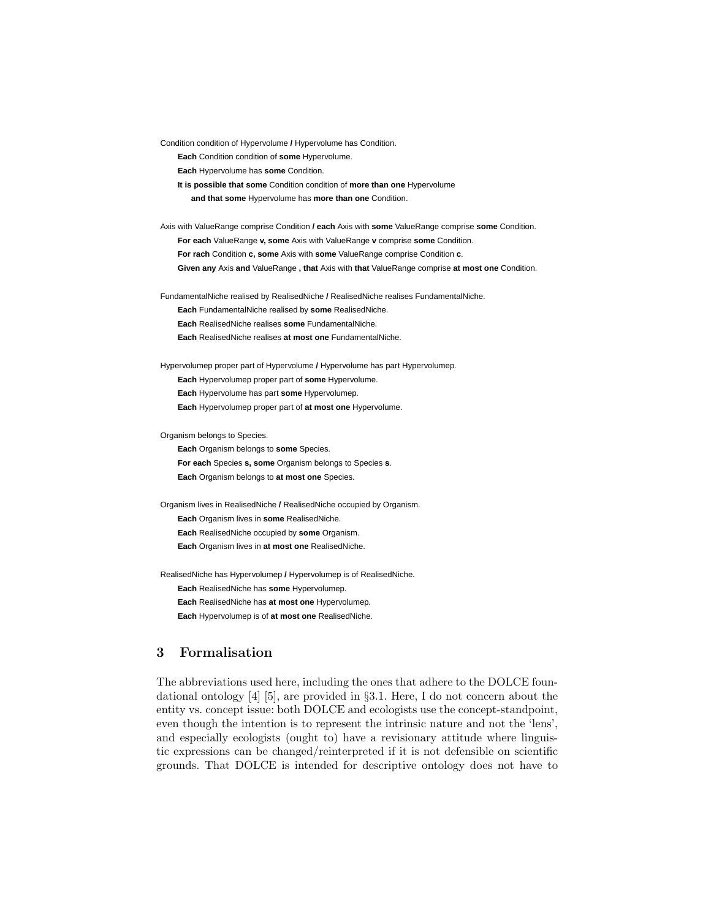Condition condition of Hypervolume **/** Hypervolume has Condition.

**Each** Condition condition of **some** Hypervolume.

**Each** Hypervolume has **some** Condition.

**It is possible that some** Condition condition of **more than one** Hypervolume

**and that some** Hypervolume has **more than one** Condition.

Axis with ValueRange comprise Condition **/ each** Axis with **some** ValueRange comprise **some** Condition. **For each** ValueRange **v, some** Axis with ValueRange **v** comprise **some** Condition. **For rach** Condition **c, some** Axis with **some** ValueRange comprise Condition **c**.

**Given any** Axis **and** ValueRange **, that** Axis with **that** ValueRange comprise **at most one** Condition.

FundamentalNiche realised by RealisedNiche **/** RealisedNiche realises FundamentalNiche.

**Each** FundamentalNiche realised by **some** RealisedNiche.

**Each** RealisedNiche realises **some** FundamentalNiche.

**Each** RealisedNiche realises **at most one** FundamentalNiche.

Hypervolumep proper part of Hypervolume **/** Hypervolume has part Hypervolumep. **Each** Hypervolumep proper part of **some** Hypervolume. **Each** Hypervolume has part **some** Hypervolumep. **Each** Hypervolumep proper part of **at most one** Hypervolume.

Organism belongs to Species.

**Each** Organism belongs to **some** Species. **For each** Species **s, some** Organism belongs to Species **s**. **Each** Organism belongs to **at most one** Species.

Organism lives in RealisedNiche **/** RealisedNiche occupied by Organism. **Each** Organism lives in **some** RealisedNiche. **Each** RealisedNiche occupied by **some** Organism. **Each** Organism lives in **at most one** RealisedNiche.

RealisedNiche has Hypervolumep **/** Hypervolumep is of RealisedNiche. **Each** RealisedNiche has **some** Hypervolumep. **Each** RealisedNiche has **at most one** Hypervolumep. **Each** Hypervolumep is of **at most one** RealisedNiche.

## 3 Formalisation

The abbreviations used here, including the ones that adhere to the DOLCE foundational ontology [4] [5], are provided in §3.1. Here, I do not concern about the entity vs. concept issue: both DOLCE and ecologists use the concept-standpoint, even though the intention is to represent the intrinsic nature and not the 'lens', and especially ecologists (ought to) have a revisionary attitude where linguistic expressions can be changed/reinterpreted if it is not defensible on scientific grounds. That DOLCE is intended for descriptive ontology does not have to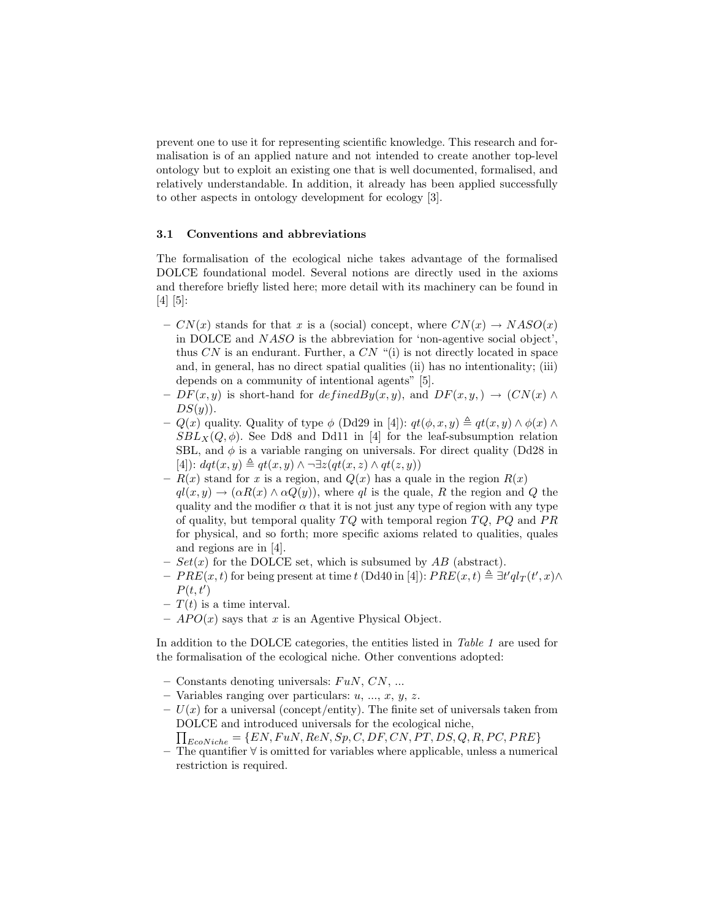prevent one to use it for representing scientific knowledge. This research and formalisation is of an applied nature and not intended to create another top-level ontology but to exploit an existing one that is well documented, formalised, and relatively understandable. In addition, it already has been applied successfully to other aspects in ontology development for ecology [3].

### 3.1 Conventions and abbreviations

The formalisation of the ecological niche takes advantage of the formalised DOLCE foundational model. Several notions are directly used in the axioms and therefore briefly listed here; more detail with its machinery can be found in [4] [5]:

- $CN(x)$  stands for that x is a (social) concept, where  $CN(x) \rightarrow NASO(x)$ in DOLCE and NASO is the abbreviation for 'non-agentive social object', thus  $CN$  is an endurant. Further, a  $CN$  "(i) is not directly located in space and, in general, has no direct spatial qualities (ii) has no intentionality; (iii) depends on a community of intentional agents" [5].
- $DF(x, y)$  is short-hand for  $definedBy(x, y)$ , and  $DF(x, y, ) \rightarrow (CN(x) \land$  $DS(y)$ ).
- $Q(x)$  quality. Quality of type  $\phi$  (Dd29 in [4]):  $qt(\phi, x, y) \triangleq qt(x, y) \wedge \phi(x) \wedge$  $SBL_X(Q, \phi)$ . See Dd8 and Dd11 in [4] for the leaf-subsumption relation SBL, and  $\phi$  is a variable ranging on universals. For direct quality (Dd28 in [4]):  $dqt(x, y) \triangleq qt(x, y) \wedge \neg \exists z (qt(x, z) \wedge qt(z, y))$
- $R(x)$  stand for x is a region, and  $Q(x)$  has a quale in the region  $R(x)$  $ql(x, y) \rightarrow (\alpha R(x) \wedge \alpha Q(y))$ , where ql is the quale, R the region and Q the quality and the modifier  $\alpha$  that it is not just any type of region with any type of quality, but temporal quality  $TQ$  with temporal region  $TQ$ ,  $PQ$  and  $PR$ for physical, and so forth; more specific axioms related to qualities, quales and regions are in [4].
- $Set(x)$  for the DOLCE set, which is subsumed by  $AB$  (abstract).
- $-PRE(x,t)$  for being present at time t (Dd40 in [4]):  $PRE(x,t) \triangleq \exists t' q l_T(t',x) \wedge$  $P(t,t')$
- $T(t)$  is a time interval.
- $APO(x)$  says that x is an Agentive Physical Object.

In addition to the DOLCE categories, the entities listed in Table 1 are used for the formalisation of the ecological niche. Other conventions adopted:

- Constants denoting universals:  $FuN, CN, ...$
- Variables ranging over particulars:  $u, ..., x, y, z$ .
- $U(x)$  for a universal (concept/entity). The finite set of universals taken from DOLCE and introduced universals for the ecological niche,

 $\prod_{EcoNiche} = \{EN, Fun, Ren, Sp, C, DF, CN, PT, DS, Q, R, PC, PRE\}$ 

– The quantifier ∀ is omitted for variables where applicable, unless a numerical restriction is required.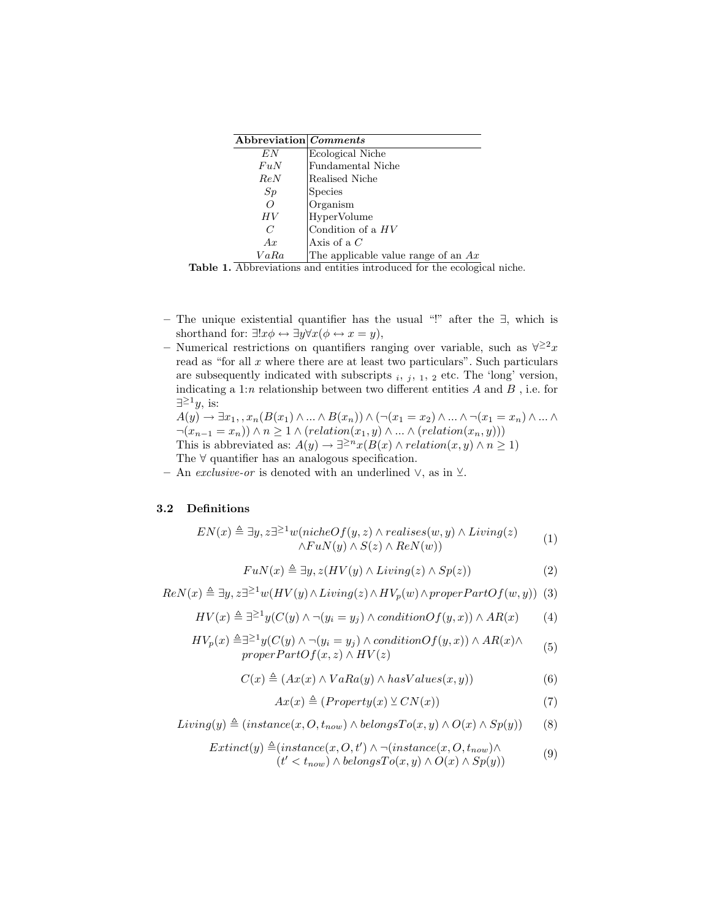| Abbreviation Comments |                                       |
|-----------------------|---------------------------------------|
| E N                   | Ecological Niche                      |
| FuN                   | Fundamental Niche                     |
| ReN                   | Realised Niche                        |
| Sp                    | <b>Species</b>                        |
| $\Omega$              | Organism                              |
| HV                    | HyperVolume                           |
| C                     | Condition of a $HV$                   |
| Ax                    | Axis of a $C$                         |
| VaRa                  | The applicable value range of an $Ax$ |

Table 1. Abbreviations and entities introduced for the ecological niche.

- The unique existential quantifier has the usual "!" after the ∃, which is shorthand for:  $\exists !x \phi \leftrightarrow \exists y \forall x (\phi \leftrightarrow x = y),$
- Numerical restrictions on quantifiers ranging over variable, such as  $\forall^{\geq 2}x$ read as "for all  $x$  where there are at least two particulars". Such particulars are subsequently indicated with subscripts  $_i$ ,  $_j$ ,  $_1$ ,  $_2$  etc. The 'long' version, indicating a 1:n relationship between two different entities  $A$  and  $B$ , i.e. for  $\exists^{\geq 1}y$ , is:

 $A(y) \rightarrow \exists x_1, x_n(B(x_1) \land ... \land B(x_n)) \land (\neg(x_1 = x_2) \land ... \land \neg(x_1 = x_n) \land ... \land$  $\neg(x_{n-1} = x_n) \land n \geq 1 \land (relation(x_1, y) \land ... \land (relation(x_n, y)))$ This is abbreviated as:  $A(y) \to \exists^{\geq n} x(B(x) \land relation(x, y) \land n \geq 1)$ The ∀ quantifier has an analogous specification.

– An *exclusive-or* is denoted with an underlined  $\vee$ , as in  $\vee$ .

#### 3.2 Definitions

$$
EN(x) \triangleq \exists y, z \exists^{\geq 1} w(nicheOf(y, z) \land realizes(w, y) \land Living(z) \land FunN(y) \land S(z) \land ReN(w))
$$
\n(1)

$$
FuN(x) \triangleq \exists y, z(HV(y) \land Living(z) \land Sp(z))
$$
\n(2)

 $Re N(x) \triangleq \exists y, z \exists^{\geq 1} w(HV(y) \wedge Living(z) \wedge HV_p(w) \wedge properPartOf(w, y))$  (3)

$$
HV(x) \triangleq \exists^{\geq 1} y (C(y) \land \neg (y_i = y_j) \land conditionOf(y, x)) \land AR(x)
$$
 (4)

$$
HV_p(x) \triangleq \exists^{\geq 1} y(C(y) \land \neg(y_i = y_j) \land conditionOf(y, x)) \land AR(x) \landproper PartOf(x, z) \land HV(z)
$$
\n(5)

$$
C(x) \triangleq (Ax(x) \land VaRa(y) \land hasValues(x, y))
$$
\n(6)

$$
Ax(x) \triangleq (Property(x) \vee CN(x))
$$
\n(7)

$$
Living(y) \triangleq (instance(x, O, t_{now}) \land belongsTo(x, y) \land O(x) \land Sp(y))
$$
 (8)

$$
Extract(y) \triangleq (instance(x, O, t') \land \neg (instance(x, O, t_{now}) \land (t' < t_{now}) \land belongsTo(x, y) \land O(x) \land Sp(y))
$$
\n(9)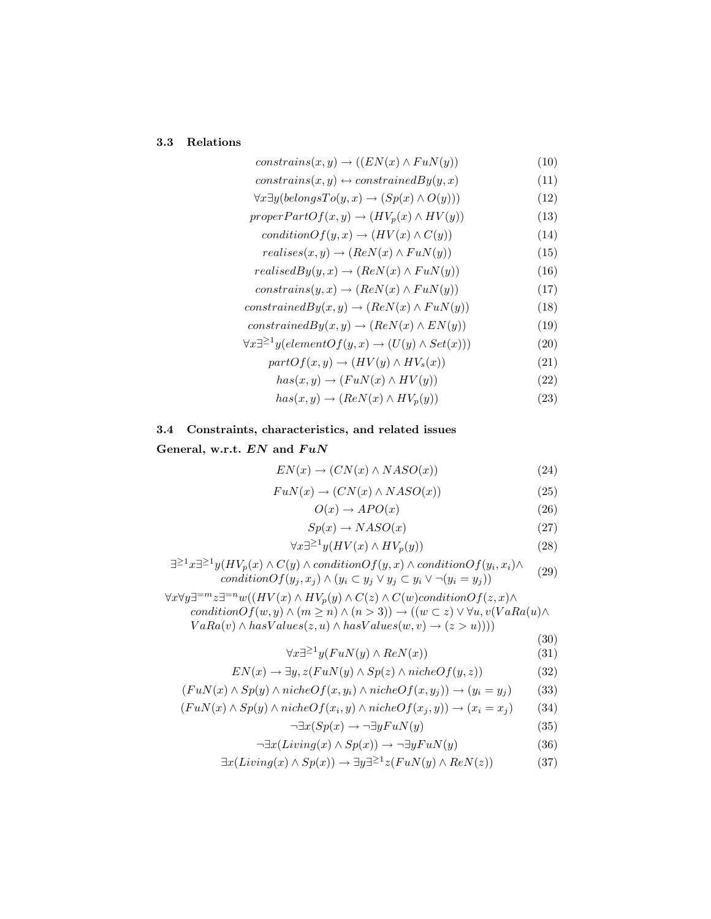# 3.3 Relations

| $constraints(x, y) \rightarrow ((EN(x) \wedge FuN(y)))$                          | (10) |
|----------------------------------------------------------------------------------|------|
| $constraints(x, y) \leftrightarrow constrainedBy(y, x)$                          | (11) |
| $\forall x \exists y (belongsTo(y, x) \rightarrow (Sp(x) \land O(y)))$           | (12) |
| $properPartOf(x, y) \rightarrow (HV_p(x) \land HV(y))$                           | (13) |
| $conditionOf(y, x) \rightarrow (HV(x) \land C(y))$                               | (14) |
| $realises(x, y) \rightarrow (ReN(x) \wedge FuN(y))$                              | (15) |
| $realisedBy(y, x) \rightarrow (ReN(x) \wedge FuN(y))$                            | (16) |
| $constraints(y, x) \rightarrow (ReN(x) \wedge FuN(y))$                           | (17) |
| $constrainedBy(x, y) \rightarrow (ReN(x) \land FuN(y))$                          | (18) |
| $constrainedBy(x, y) \rightarrow (ReN(x) \wedge EN(y))$                          | (19) |
| $\forall x \exists^{\geq 1} y (elementOf(y, x) \rightarrow (U(y) \land Set(x)))$ | (20) |
| $partOf(x, y) \rightarrow (HV(y) \wedge HV_s(x))$                                | (21) |
| $has(x, y) \rightarrow (FuN(x) \land HV(y))$                                     | (22) |
| $has(x, y) \rightarrow (ReN(x) \wedge HV_p(y))$                                  | (23) |

3.4 Constraints, characteristics, and related issues

### General, w.r.t.  $EN$  and  $FuN$

$$
EN(x) \to (CN(x) \land NASO(x))
$$
\n(24)

$$
FuN(x) \to (CN(x) \land NASO(x))
$$
\n(25)

$$
O(x) \to APO(x) \tag{26}
$$

$$
Sp(x) \to NASO(x) \tag{27}
$$

$$
\forall x \exists^{\geq 1} y (HV(x) \land HV_p(y)) \tag{28}
$$

$$
\exists^{\geq 1} x \exists^{\geq 1} y (HV_p(x) \land C(y) \land conditionOf(y, x) \land conditionOf(y_i, x_i) \land conditionOf(y_i, x_j) \land (y_i \subset y_j \lor y_j \subset y_i \lor \neg(y_i = y_j))
$$
\n(29)

 $\forall x \forall y \exists^{=m} x \exists^{=n} w((HV(x) \land HV_p(y) \land C(z) \land C(w) conditionOf(z, x) \land$  $\text{condition} \overrightarrow{Of}(w, y) \land (m \geq n) \land (n > 3)) \rightarrow ((w \subset z) \lor \forall u, v(\overrightarrow{VAR}(u) \land \overrightarrow{U}))$  $VaRa(v) \wedge hasValues(z, u) \wedge hasValues(w, v) \rightarrow (z > u))))$ 

$$
\forall x \exists^{\geq 1} y(FuN(y) \land ReN(x))
$$
\n(30)\n(31)

$$
EN(x) \to \exists y, z(FuN(y) \land Sp(z) \land nicheOf(y, z))
$$
\n(32)

$$
(FuN(x) \land Sp(y) \land nicheOf(x, y_i) \land nicheOf(x, y_j)) \rightarrow (y_i = y_j)
$$
 (33)

$$
(FuN(x) \land Sp(y) \land nicheOf(x_i, y) \land nicheOf(x_j, y)) \rightarrow (x_i = x_j)
$$
 (34)

$$
\neg \exists x (Sp(x) \to \neg \exists y F u N(y) \tag{35}
$$

$$
\neg \exists x (Living(x) \land Sp(x)) \rightarrow \neg \exists y F u N(y) \tag{36}
$$

$$
\exists x (Living(x) \land Sp(x)) \to \exists y \exists^{\geq 1} z (FuN(y) \land ReN(z)) \tag{37}
$$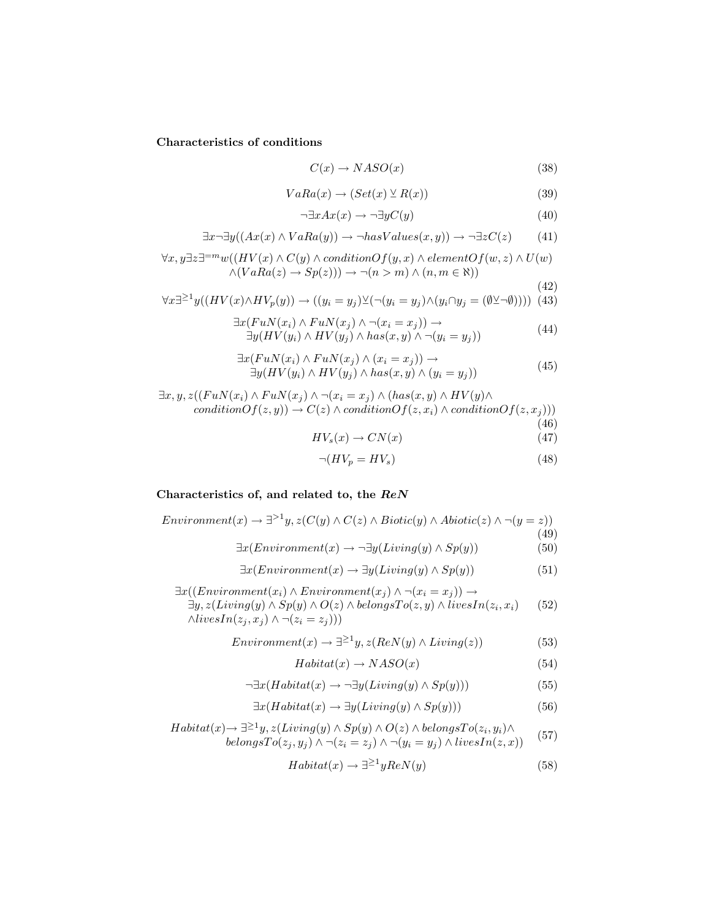Characteristics of conditions

$$
C(x) \to NASO(x) \tag{38}
$$

$$
VaRa(x) \to (Set(x) \veeeq R(x))
$$
\n(39)

$$
\neg \exists x Ax(x) \to \neg \exists y C(y) \tag{40}
$$

$$
\exists x \neg \exists y ((Ax(x) \land VaRa(y)) \rightarrow \neg hasValues(x, y)) \rightarrow \neg \exists z C(z) \tag{41}
$$

$$
\forall x, y \exists z \exists^{=m} w((HV(x) \land C(y) \land conditionOf(y, x) \land elementOf(w, z) \land U(w) \land (VaRa(z) \rightarrow Sp(z))) \rightarrow \neg(n > m) \land (n, m \in \aleph))
$$
\n(42)

$$
\forall x \exists^{\geq 1} y((HV(x) \land HV_p(y)) \to ((y_i = y_j) \lor (\neg(y_i = y_j) \land (y_i \cap y_j = (\emptyset \lor \neg \emptyset)))) (43))
$$

$$
\exists x (FuN(x_i) \land FuN(x_j) \land \neg(x_i = x_j)) \rightarrow \exists y (HV(y_i) \land HV(y_j) \land has(x, y) \land \neg(y_i = y_j))
$$
\n(44)

$$
\exists x (FuN(x_i) \land FuN(x_j) \land (x_i = x_j)) \rightarrow \exists y (HV(y_i) \land HV(y_j) \land has(x, y) \land (y_i = y_j))
$$
\n(45)

$$
\exists x, y, z((FuN(x_i) \land FuN(x_j) \land \neg(x_i = x_j) \land (has(x, y) \land HV(y) \landconditionOf(z, y)) \rightarrow C(z) \land conditionOf(z, x_i) \land conditionOf(z, x_j)))
$$
\n(46)

$$
HV_s(x) \to CN(x) \tag{47}
$$

$$
\neg (HV_p = HV_s) \tag{48}
$$

# Characteristics of, and related to, the ReN

$$
Environment(x) \rightarrow \exists^{>1}y, z(C(y) \land C(z) \land Biotic(y) \land Abiotic(z) \land \neg(y = z))
$$
\n
$$
\exists x (Environment(x) \rightarrow \neg \exists y ( Living(y) \land Sp(y)) \tag{50}
$$
\n
$$
\exists x (Environment(x) \rightarrow \exists y ( Living(y) \land Sp(y)) \tag{51}
$$

 $\exists x((Environment(x_i) \land Environment(x_j) \land \neg(x_i = x_j)) \rightarrow$  $\exists y, z(Living(y) \land Sp(y) \land O(z) \land belongsTo(z, y) \land livesIn(z_i, x_i)$  $\wedge livesIn(z_j, x_j) \wedge \neg (z_i = z_j)))$ (52)

$$
Environment(x) \rightarrow \exists^{\geq 1} y, z(ReN(y) \land Living(z))
$$
\n(53)

$$
Habitat(x) \to NASO(x) \tag{54}
$$

$$
\neg \exists x (Habitat(x) \to \neg \exists y ( Living(y) \land Sp(y)))\tag{55}
$$

$$
\exists x (Habitat(x) \to \exists y (Living(y) \land Sp(y)))\tag{56}
$$

$$
Habitat(x) \to \exists^{\geq 1} y, z(Living(y) \land Sp(y) \land O(z) \land belongsTo(z_i, y_i) \landbelongsTo(z_j, y_j) \land \neg(z_i = z_j) \land \neg(y_i = y_j) \land livesIn(z, x))
$$
(57)

$$
Habitat(x) \to \exists^{\geq 1} yReN(y) \tag{58}
$$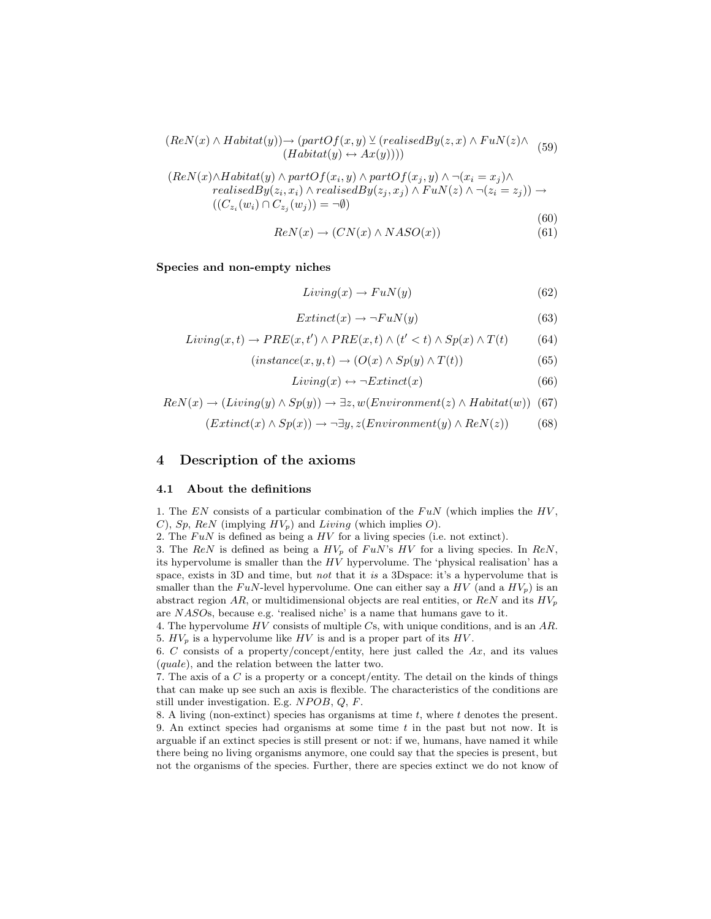$$
(Re N(x) \land Habitat(y)) \rightarrow (partOf(x, y) \vee (realisedBy(z, x) \land FuN(z) \land (59)
$$
  

$$
(Habitat(y) \leftrightarrow Ax(y))))
$$

$$
(ReN(x) \land Habitat(y) \land partOf(x_i, y) \land partOf(x_j, y) \land \neg (x_i = x_j) \land\nrealisedBy(z_i, x_i) \land realisedBy(z_j, x_j) \land FuN(z) \land \neg (z_i = z_j)) \rightarrow\n((C_{z_i}(w_i) \cap C_{z_j}(w_j)) = \neg \emptyset)
$$
\n(60)

$$
ReN(x) \to (CN(x) \land NASO(x))
$$
\n(61)

Species and non-empty niches

$$
Living(x) \to FuN(y) \tag{62}
$$

$$
Extract(x)\rightarrow \neg FuN(y)\tag{63}
$$

$$
Living(x, t) \to PRE(x, t') \land PRE(x, t) \land (t' < t) \land Sp(x) \land T(t) \tag{64}
$$

$$
(instance(x, y, t) \to (O(x) \land Sp(y) \land T(t))
$$
\n(65)

$$
Living(x) \leftrightarrow \neg Extinct(x) \tag{66}
$$

$$
Re N(x) \rightarrow (Living(y) \land Sp(y)) \rightarrow \exists z, w (Environment(z) \land Habitat(w))
$$
 (67)

$$
(Extract(x)\wedge Sp(x))\rightarrow \neg \exists y, z(Environment(y)\wedge ReN(z))
$$
 (68)

# 4 Description of the axioms

#### 4.1 About the definitions

1. The  $EN$  consists of a particular combination of the  $FuN$  (which implies the  $HV$ , C), Sp, ReN (implying  $HV_p$ ) and Living (which implies O).

2. The  $FuN$  is defined as being a  $HV$  for a living species (i.e. not extinct).

3. The ReN is defined as being a  $HV_p$  of  $FuN$ 's  $HV$  for a living species. In ReN, its hypervolume is smaller than the  $H\dot{V}$  hypervolume. The 'physical realisation' has a space, exists in 3D and time, but *not* that it is a 3D space: it's a hypervolume that is smaller than the FuN-level hypervolume. One can either say a  $HV$  (and a  $HV_p$ ) is an abstract region AR, or multidimensional objects are real entities, or  $ReN$  and its  $HV_p$ are NASOs, because e.g. 'realised niche' is a name that humans gave to it.

4. The hypervolume  $HV$  consists of multiple  $Cs$ , with unique conditions, and is an  $AR$ . 5.  $HV_p$  is a hypervolume like  $HV$  is and is a proper part of its  $HV$ .

6. C consists of a property/concept/entity, here just called the  $Ax$ , and its values (quale), and the relation between the latter two.

7. The axis of a C is a property or a concept/entity. The detail on the kinds of things that can make up see such an axis is flexible. The characteristics of the conditions are still under investigation. E.g.  $NPOB$ ,  $Q$ ,  $F$ .

8. A living (non-extinct) species has organisms at time  $t$ , where  $t$  denotes the present. 9. An extinct species had organisms at some time  $t$  in the past but not now. It is arguable if an extinct species is still present or not: if we, humans, have named it while there being no living organisms anymore, one could say that the species is present, but not the organisms of the species. Further, there are species extinct we do not know of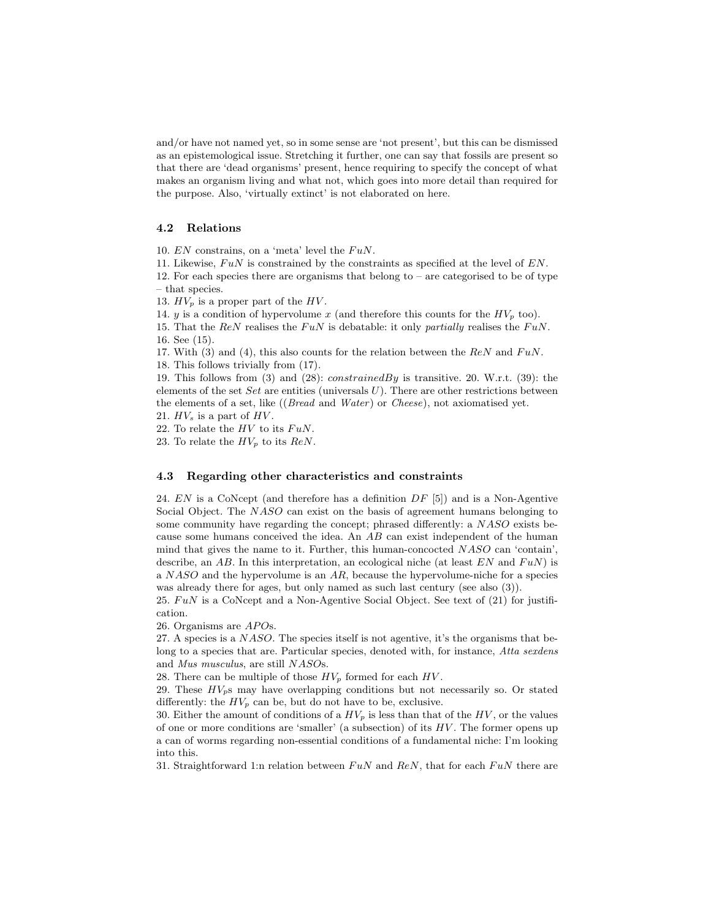and/or have not named yet, so in some sense are 'not present', but this can be dismissed as an epistemological issue. Stretching it further, one can say that fossils are present so that there are 'dead organisms' present, hence requiring to specify the concept of what makes an organism living and what not, which goes into more detail than required for the purpose. Also, 'virtually extinct' is not elaborated on here.

### 4.2 Relations

10.  $EN$  constrains, on a 'meta' level the  $FuN$ .

11. Likewise,  $F u N$  is constrained by the constraints as specified at the level of  $EN$ . 12. For each species there are organisms that belong to – are categorised to be of type – that species.

13.  $HV_p$  is a proper part of the  $HV$ .

14. y is a condition of hypervolume x (and therefore this counts for the  $HV_p$  too).

15. That the ReN realises the FuN is debatable: it only partially realises the FuN. 16. See (15).

17. With (3) and (4), this also counts for the relation between the  $ReN$  and  $FuN$ .

18. This follows trivially from (17).

19. This follows from (3) and (28): constrainedBy is transitive. 20. W.r.t. (39): the elements of the set  $Set$  are entities (universals  $U$ ). There are other restrictions between the elements of a set, like ((Bread and Water) or Cheese), not axiomatised yet.

21.  $HV_s$  is a part of  $HV$ .

22. To relate the  $HV$  to its  $FuN$ .

23. To relate the  $HV_p$  to its  $ReN$ .

#### 4.3 Regarding other characteristics and constraints

24.  $EN$  is a CoNcept (and therefore has a definition  $DF$  [5]) and is a Non-Agentive Social Object. The NASO can exist on the basis of agreement humans belonging to some community have regarding the concept; phrased differently: a NASO exists because some humans conceived the idea. An AB can exist independent of the human mind that gives the name to it. Further, this human-concocted NASO can 'contain', describe, an AB. In this interpretation, an ecological niche (at least  $EN$  and  $FuN$ ) is a NASO and the hypervolume is an AR, because the hypervolume-niche for a species was already there for ages, but only named as such last century (see also (3)).

25.  $F u N$  is a CoNcept and a Non-Agentive Social Object. See text of (21) for justification.

26. Organisms are APOs.

27. A species is a NASO. The species itself is not agentive, it's the organisms that belong to a species that are. Particular species, denoted with, for instance, Atta sexdens and Mus musculus, are still NASOs.

28. There can be multiple of those  $HV_p$  formed for each  $HV$ .

29. These  $HV_p$ s may have overlapping conditions but not necessarily so. Or stated differently: the  $HV_p$  can be, but do not have to be, exclusive.

30. Either the amount of conditions of a  $HV_p$  is less than that of the  $HV$ , or the values of one or more conditions are 'smaller' (a subsection) of its  $HV$ . The former opens up a can of worms regarding non-essential conditions of a fundamental niche: I'm looking into this.

31. Straightforward 1:n relation between  $FuN$  and  $ReN$ , that for each  $FuN$  there are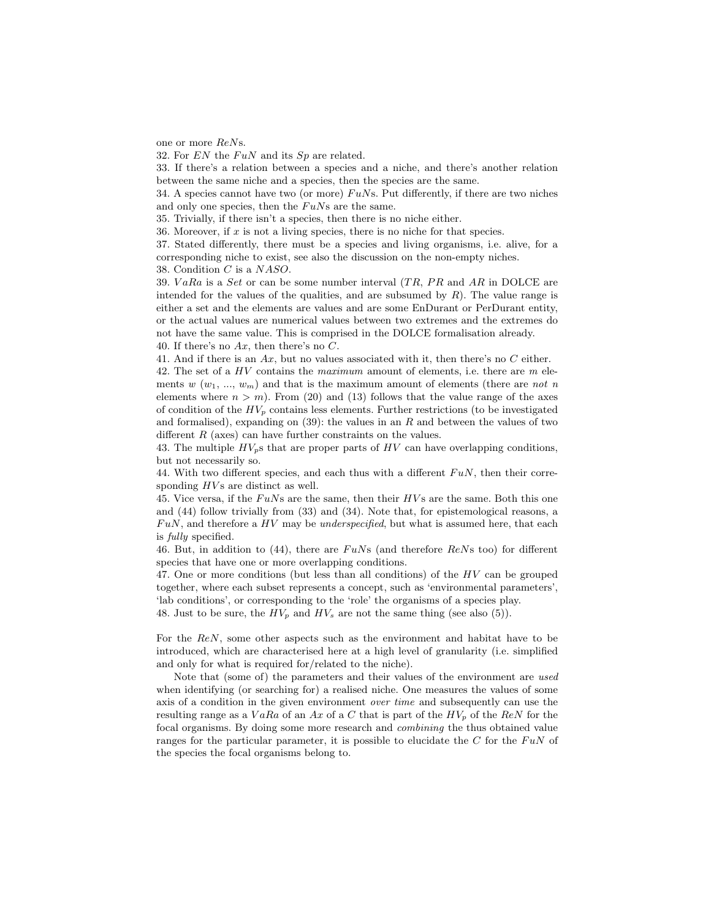one or more ReNs.

32. For  $EN$  the  $FuN$  and its  $Sp$  are related.

33. If there's a relation between a species and a niche, and there's another relation between the same niche and a species, then the species are the same.

34. A species cannot have two (or more)  $F uNs$ . Put differently, if there are two niches and only one species, then the  $FuNs$  are the same.

35. Trivially, if there isn't a species, then there is no niche either.

36. Moreover, if  $x$  is not a living species, there is no niche for that species.

37. Stated differently, there must be a species and living organisms, i.e. alive, for a corresponding niche to exist, see also the discussion on the non-empty niches.

38. Condition C is a NASO.

39.  $VaRa$  is a Set or can be some number interval  $(TR, PR)$  and  $AR$  in DOLCE are intended for the values of the qualities, and are subsumed by  $R$ ). The value range is either a set and the elements are values and are some EnDurant or PerDurant entity, or the actual values are numerical values between two extremes and the extremes do not have the same value. This is comprised in the DOLCE formalisation already. 40. If there's no  $Ax$ , then there's no  $C$ .

41. And if there is an  $Ax$ , but no values associated with it, then there's no  $C$  either.

42. The set of a  $HV$  contains the *maximum* amount of elements, i.e. there are  $m$  elements w  $(w_1, ..., w_m)$  and that is the maximum amount of elements (there are not n elements where  $n > m$ . From (20) and (13) follows that the value range of the axes of condition of the  $HV_p$  contains less elements. Further restrictions (to be investigated and formalised), expanding on  $(39)$ : the values in an R and between the values of two different  $R$  (axes) can have further constraints on the values.

43. The multiple  $HV_p$ s that are proper parts of HV can have overlapping conditions, but not necessarily so.

44. With two different species, and each thus with a different  $F u N$ , then their corresponding  $HVs$  are distinct as well.

45. Vice versa, if the  $F uNs$  are the same, then their  $HVs$  are the same. Both this one and (44) follow trivially from (33) and (34). Note that, for epistemological reasons, a  $FuN$ , and therefore a  $HV$  may be *underspecified*, but what is assumed here, that each is fully specified.

46. But, in addition to (44), there are  $F uNs$  (and therefore  $ReNs$  too) for different species that have one or more overlapping conditions.

47. One or more conditions (but less than all conditions) of the HV can be grouped together, where each subset represents a concept, such as 'environmental parameters', 'lab conditions', or corresponding to the 'role' the organisms of a species play.

48. Just to be sure, the  $HV_p$  and  $HV_s$  are not the same thing (see also (5)).

For the ReN, some other aspects such as the environment and habitat have to be introduced, which are characterised here at a high level of granularity (i.e. simplified and only for what is required for/related to the niche).

Note that (some of) the parameters and their values of the environment are used when identifying (or searching for) a realised niche. One measures the values of some axis of a condition in the given environment over time and subsequently can use the resulting range as a  $VaRa$  of an Ax of a C that is part of the  $HV_p$  of the ReN for the focal organisms. By doing some more research and combining the thus obtained value ranges for the particular parameter, it is possible to elucidate the  $C$  for the  $F u N$  of the species the focal organisms belong to.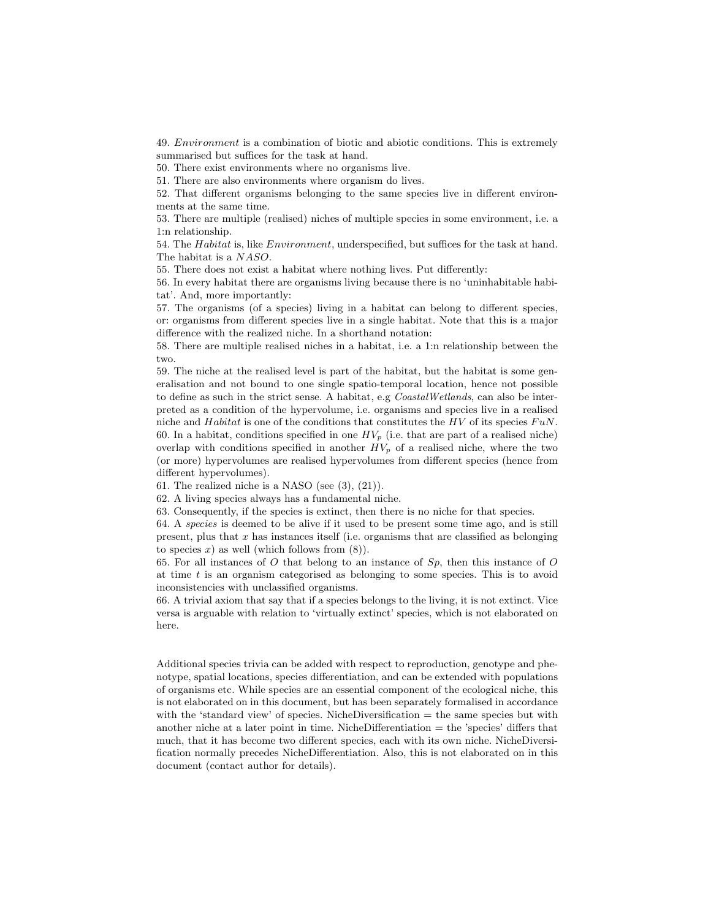49. Environment is a combination of biotic and abiotic conditions. This is extremely summarised but suffices for the task at hand.

50. There exist environments where no organisms live.

51. There are also environments where organism do lives.

52. That different organisms belonging to the same species live in different environments at the same time.

53. There are multiple (realised) niches of multiple species in some environment, i.e. a 1:n relationship.

54. The Habitat is, like Environment, underspecified, but suffices for the task at hand. The habitat is a NASO.

55. There does not exist a habitat where nothing lives. Put differently:

56. In every habitat there are organisms living because there is no 'uninhabitable habitat'. And, more importantly:

57. The organisms (of a species) living in a habitat can belong to different species, or: organisms from different species live in a single habitat. Note that this is a major difference with the realized niche. In a shorthand notation:

58. There are multiple realised niches in a habitat, i.e. a 1:n relationship between the two.

59. The niche at the realised level is part of the habitat, but the habitat is some generalisation and not bound to one single spatio-temporal location, hence not possible to define as such in the strict sense. A habitat, e.g CoastalWetlands, can also be interpreted as a condition of the hypervolume, i.e. organisms and species live in a realised niche and Habitat is one of the conditions that constitutes the HV of its species  $F uN$ . 60. In a habitat, conditions specified in one  $HV_p$  (i.e. that are part of a realised niche) overlap with conditions specified in another  $HV_p$  of a realised niche, where the two (or more) hypervolumes are realised hypervolumes from different species (hence from different hypervolumes).

61. The realized niche is a NASO (see (3), (21)).

62. A living species always has a fundamental niche.

63. Consequently, if the species is extinct, then there is no niche for that species.

64. A species is deemed to be alive if it used to be present some time ago, and is still present, plus that  $x$  has instances itself (i.e. organisms that are classified as belonging to species  $x$ ) as well (which follows from  $(8)$ ).

65. For all instances of O that belong to an instance of  $Sp$ , then this instance of O at time  $t$  is an organism categorised as belonging to some species. This is to avoid inconsistencies with unclassified organisms.

66. A trivial axiom that say that if a species belongs to the living, it is not extinct. Vice versa is arguable with relation to 'virtually extinct' species, which is not elaborated on here.

Additional species trivia can be added with respect to reproduction, genotype and phenotype, spatial locations, species differentiation, and can be extended with populations of organisms etc. While species are an essential component of the ecological niche, this is not elaborated on in this document, but has been separately formalised in accordance with the 'standard view' of species. NicheDiversification = the same species but with another niche at a later point in time. NicheDifferentiation = the 'species' differs that much, that it has become two different species, each with its own niche. NicheDiversification normally precedes NicheDifferentiation. Also, this is not elaborated on in this document (contact author for details).